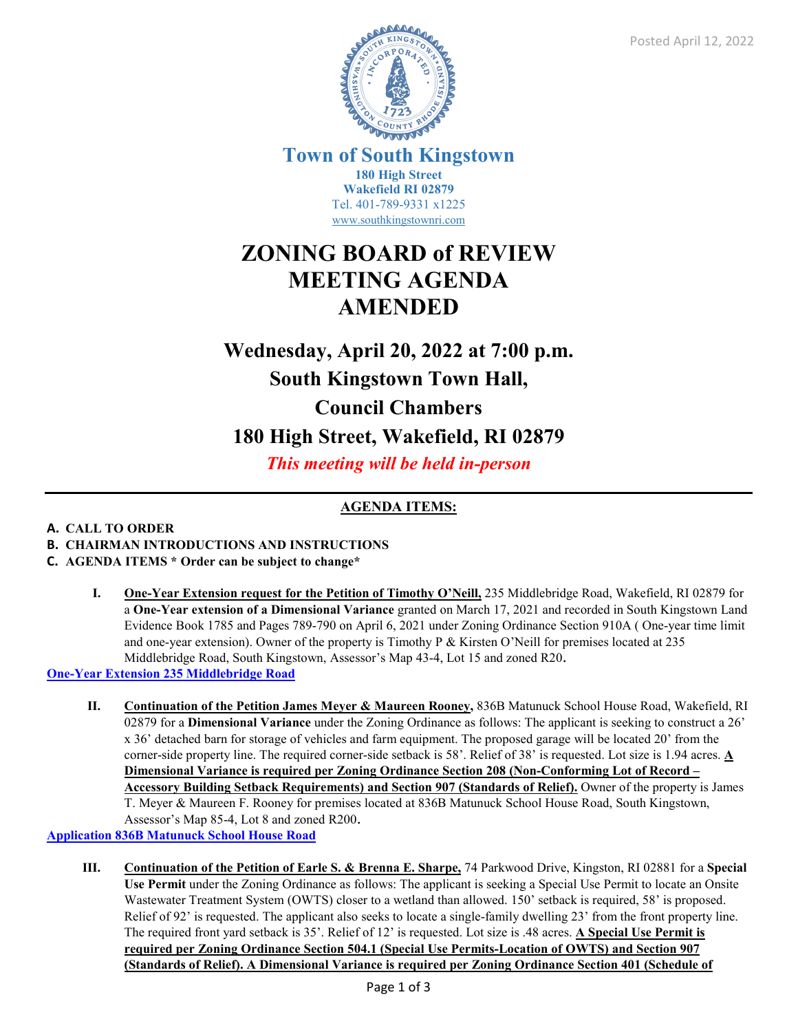

**Town of South Kingstown 180 High Street Wakefield RI 02879** Tel. 401-789-9331 x1225 [www.southkingstownri.com](http://www.southkingstownri.com/)

## **ZONING BOARD of REVIEW MEETING AGENDA AMENDED**

# **Wednesday, April 20, 2022 at 7:00 p.m. South Kingstown Town Hall, Council Chambers 180 High Street, Wakefield, RI 02879**

*This meeting will be held in-person* 

### **AGENDA ITEMS:**

#### **A. CALL TO ORDER**

- **B. CHAIRMAN INTRODUCTIONS AND INSTRUCTIONS**
- **C. AGENDA ITEMS \* Order can be subject to change\*** 
	- **I. One-Year Extension request for the Petition of Timothy O'Neill,** 235 Middlebridge Road, Wakefield, RI 02879 for a **One-Year extension of a Dimensional Variance** granted on March 17, 2021 and recorded in South Kingstown Land Evidence Book 1785 and Pages 789-790 on April 6, 2021 under Zoning Ordinance Section 910A ( One-year time limit and one-year extension). Owner of the property is Timothy P & Kirsten O'Neill for premises located at 235 Middlebridge Road, South Kingstown, Assessor's Map 43-4, Lot 15 and zoned R20.

**[One-Year Extension 235 Middlebridge Road](https://www.southkingstownri.com/DocumentCenter/View/9709/235-Middlebridge-Road-One-Year-Extension-Request)**

**II. Continuation of the Petition James Meyer & Maureen Rooney,** 836B Matunuck School House Road, Wakefield, RI 02879 for a **Dimensional Variance** under the Zoning Ordinance as follows: The applicant is seeking to construct a 26' x 36' detached barn for storage of vehicles and farm equipment. The proposed garage will be located 20' from the corner-side property line. The required corner-side setback is 58'. Relief of 38' is requested. Lot size is 1.94 acres. **A Dimensional Variance is required per Zoning Ordinance Section 208 (Non-Conforming Lot of Record – Accessory Building Setback Requirements) and Section 907 (Standards of Relief).** Owner of the property is James T. Meyer & Maureen F. Rooney for premises located at 836B Matunuck School House Road, South Kingstown, Assessor's Map 85-4, Lot 8 and zoned R200.

**[Application 836B Matunuck School House Road](https://www.southkingstownri.com/DocumentCenter/View/9521/Application-836B-Mat-School-House-Road)**

**III. Continuation of the Petition of Earle S. & Brenna E. Sharpe,** 74 Parkwood Drive, Kingston, RI 02881 for a **Special Use Permit** under the Zoning Ordinance as follows: The applicant is seeking a Special Use Permit to locate an Onsite Wastewater Treatment System (OWTS) closer to a wetland than allowed. 150' setback is required, 58' is proposed. Relief of 92' is requested. The applicant also seeks to locate a single-family dwelling 23' from the front property line. The required front yard setback is 35'. Relief of 12' is requested. Lot size is .48 acres. **A Special Use Permit is required per Zoning Ordinance Section 504.1 (Special Use Permits-Location of OWTS) and Section 907 (Standards of Relief). A Dimensional Variance is required per Zoning Ordinance Section 401 (Schedule of**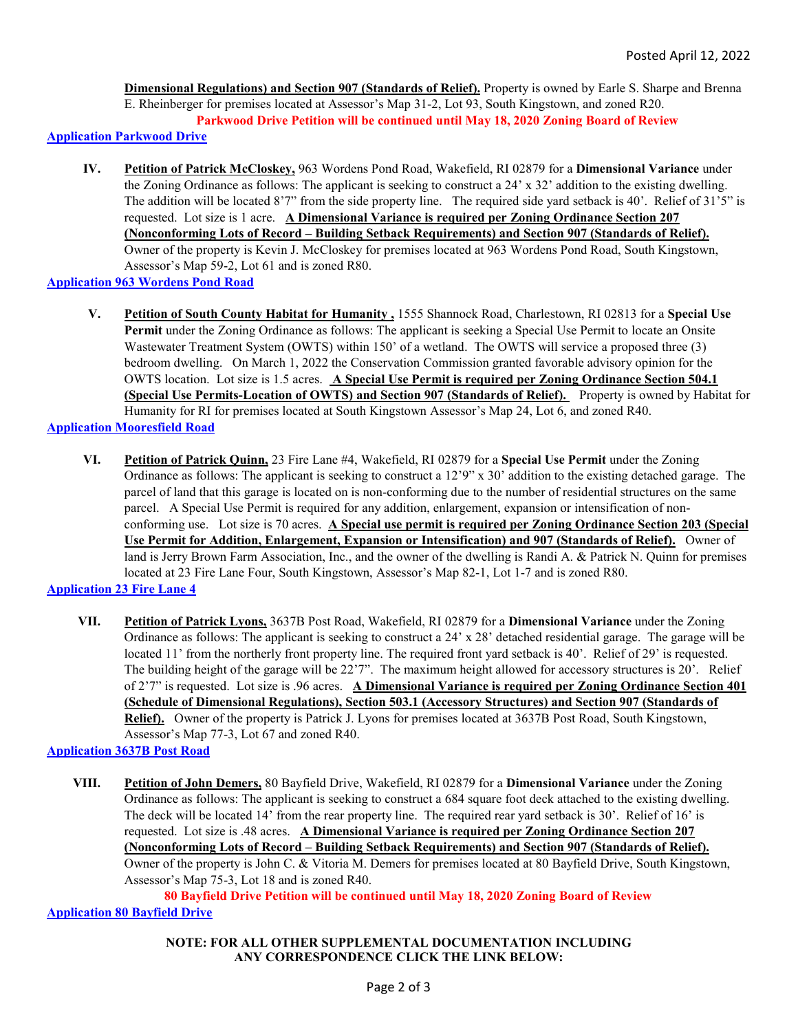**Dimensional Regulations) and Section 907 (Standards of Relief).** Property is owned by Earle S. Sharpe and Brenna E. Rheinberger for premises located at Assessor's Map 31-2, Lot 93, South Kingstown, and zoned R20. **Parkwood Drive Petition will be continued until May 18, 2020 Zoning Board of Review** 

**[Application Parkwood Drive](https://www.southkingstownri.com/DocumentCenter/View/9629/Parkwood-Drive-Application)**

**IV. Petition of Patrick McCloskey,** 963 Wordens Pond Road, Wakefield, RI 02879 for a **Dimensional Variance** under the Zoning Ordinance as follows: The applicant is seeking to construct a 24' x 32' addition to the existing dwelling. The addition will be located 8'7" from the side property line. The required side yard setback is 40'. Relief of 31'5" is requested. Lot size is 1 acre. **A Dimensional Variance is required per Zoning Ordinance Section 207 (Nonconforming Lots of Record – Building Setback Requirements) and Section 907 (Standards of Relief).** Owner of the property is Kevin J. McCloskey for premises located at 963 Wordens Pond Road, South Kingstown, Assessor's Map 59-2, Lot 61 and is zoned R80.

**[Application 963 Wordens Pond Road](https://www.southkingstownri.com/DocumentCenter/View/9711/963-Wordens-Pond-Road-Application)**

**V. Petition of South County Habitat for Humanity ,** 1555 Shannock Road, Charlestown, RI 02813 for a **Special Use Permit** under the Zoning Ordinance as follows: The applicant is seeking a Special Use Permit to locate an Onsite Wastewater Treatment System (OWTS) within 150' of a wetland. The OWTS will service a proposed three (3) bedroom dwelling. On March 1, 2022 the Conservation Commission granted favorable advisory opinion for the OWTS location. Lot size is 1.5 acres. **A Special Use Permit is required per Zoning Ordinance Section 504.1 (Special Use Permits-Location of OWTS) and Section 907 (Standards of Relief).** Property is owned by Habitat for Humanity for RI for premises located at South Kingstown Assessor's Map 24, Lot 6, and zoned R40.

**[Application Mooresfield Road](https://www.southkingstownri.com/DocumentCenter/View/9805/Mooresfield-Road-Application)**

**VI. Petition of Patrick Quinn,** 23 Fire Lane #4, Wakefield, RI 02879 for a **Special Use Permit** under the Zoning Ordinance as follows: The applicant is seeking to construct a 12'9" x 30' addition to the existing detached garage. The parcel of land that this garage is located on is non-conforming due to the number of residential structures on the same parcel. A Special Use Permit is required for any addition, enlargement, expansion or intensification of nonconforming use. Lot size is 70 acres. **A Special use permit is required per Zoning Ordinance Section 203 (Special Use Permit for Addition, Enlargement, Expansion or Intensification) and 907 (Standards of Relief).** Owner of land is Jerry Brown Farm Association, Inc., and the owner of the dwelling is Randi A. & Patrick N. Quinn for premises located at 23 Fire Lane Four, South Kingstown, Assessor's Map 82-1, Lot 1-7 and is zoned R80.

**[Application 23 Fire Lane 4](https://www.southkingstownri.com/DocumentCenter/View/9802/23-Fire-Lane-Four-Application)**

**VII. Petition of Patrick Lyons,** 3637B Post Road, Wakefield, RI 02879 for a **Dimensional Variance** under the Zoning Ordinance as follows: The applicant is seeking to construct a 24' x 28' detached residential garage. The garage will be located 11' from the northerly front property line. The required front yard setback is 40'. Relief of 29' is requested. The building height of the garage will be 22'7". The maximum height allowed for accessory structures is 20'. Relief of 2'7" is requested. Lot size is .96 acres. **A Dimensional Variance is required per Zoning Ordinance Section 401 (Schedule of Dimensional Regulations), Section 503.1 (Accessory Structures) and Section 907 (Standards of Relief).** Owner of the property is Patrick J. Lyons for premises located at 3637B Post Road, South Kingstown, Assessor's Map 77-3, Lot 67 and zoned R40.

**[Application 3637B Post Road](https://www.southkingstownri.com/DocumentCenter/View/9803/3637B-Post-Road-Application)**

**VIII. Petition of John Demers,** 80 Bayfield Drive, Wakefield, RI 02879 for a **Dimensional Variance** under the Zoning Ordinance as follows: The applicant is seeking to construct a 684 square foot deck attached to the existing dwelling. The deck will be located 14' from the rear property line. The required rear yard setback is 30'. Relief of 16' is requested. Lot size is .48 acres. **A Dimensional Variance is required per Zoning Ordinance Section 207 (Nonconforming Lots of Record – Building Setback Requirements) and Section 907 (Standards of Relief).** Owner of the property is John C. & Vitoria M. Demers for premises located at 80 Bayfield Drive, South Kingstown, Assessor's Map 75-3, Lot 18 and is zoned R40.

**80 Bayfield Drive Petition will be continued until May 18, 2020 Zoning Board of Review [Application 80 Bayfield Drive](https://www.southkingstownri.com/DocumentCenter/View/9804/80-Bayfield-Drive-Application)**

> **NOTE: FOR ALL OTHER SUPPLEMENTAL DOCUMENTATION INCLUDING ANY CORRESPONDENCE CLICK THE LINK BELOW:**